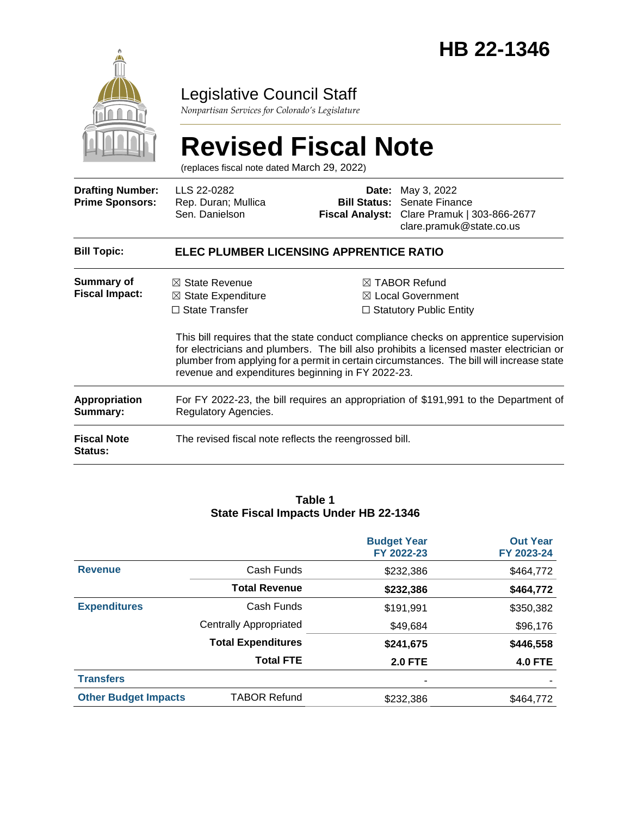

# Legislative Council Staff

*Nonpartisan Services for Colorado's Legislature*

# **Revised Fiscal Note**

(replaces fiscal note dated March 29, 2022)

| <b>Drafting Number:</b><br><b>Prime Sponsors:</b> | LLS 22-0282<br>Rep. Duran; Mullica<br>Sen. Danielson                                                                                     |  | <b>Date:</b> May 3, 2022<br><b>Bill Status: Senate Finance</b><br>Fiscal Analyst: Clare Pramuk   303-866-2677<br>clare.pramuk@state.co.us                                                                                                                                                                                                                         |  |  |
|---------------------------------------------------|------------------------------------------------------------------------------------------------------------------------------------------|--|-------------------------------------------------------------------------------------------------------------------------------------------------------------------------------------------------------------------------------------------------------------------------------------------------------------------------------------------------------------------|--|--|
| <b>Bill Topic:</b>                                | ELEC PLUMBER LICENSING APPRENTICE RATIO                                                                                                  |  |                                                                                                                                                                                                                                                                                                                                                                   |  |  |
| Summary of<br><b>Fiscal Impact:</b>               | $\boxtimes$ State Revenue<br>$\boxtimes$ State Expenditure<br>$\Box$ State Transfer<br>revenue and expenditures beginning in FY 2022-23. |  | $\boxtimes$ TABOR Refund<br>⊠ Local Government<br>$\Box$ Statutory Public Entity<br>This bill requires that the state conduct compliance checks on apprentice supervision<br>for electricians and plumbers. The bill also prohibits a licensed master electrician or<br>plumber from applying for a permit in certain circumstances. The bill will increase state |  |  |
| <b>Appropriation</b><br>Summary:                  | For FY 2022-23, the bill requires an appropriation of \$191,991 to the Department of<br>Regulatory Agencies.                             |  |                                                                                                                                                                                                                                                                                                                                                                   |  |  |
| <b>Fiscal Note</b><br>Status:                     | The revised fiscal note reflects the reengrossed bill.                                                                                   |  |                                                                                                                                                                                                                                                                                                                                                                   |  |  |

#### **Table 1 State Fiscal Impacts Under HB 22-1346**

|                             |                               | <b>Budget Year</b><br>FY 2022-23 | <b>Out Year</b><br>FY 2023-24 |
|-----------------------------|-------------------------------|----------------------------------|-------------------------------|
| <b>Revenue</b>              | Cash Funds                    | \$232,386                        | \$464,772                     |
|                             | <b>Total Revenue</b>          | \$232,386                        | \$464,772                     |
| <b>Expenditures</b>         | Cash Funds                    | \$191,991                        | \$350,382                     |
|                             | <b>Centrally Appropriated</b> | \$49,684                         | \$96,176                      |
|                             | <b>Total Expenditures</b>     | \$241,675                        | \$446,558                     |
|                             | <b>Total FTE</b>              | <b>2.0 FTE</b>                   | <b>4.0 FTE</b>                |
| <b>Transfers</b>            |                               |                                  |                               |
| <b>Other Budget Impacts</b> | <b>TABOR Refund</b>           | \$232,386                        | \$464,772                     |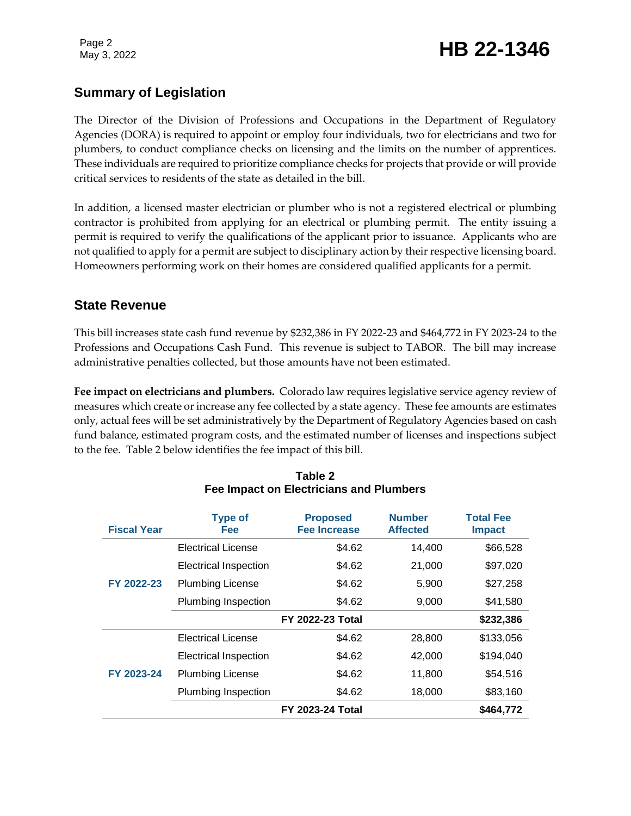Page 2

# May 3, 2022 **HB 22-1346**

## **Summary of Legislation**

The Director of the Division of Professions and Occupations in the Department of Regulatory Agencies (DORA) is required to appoint or employ four individuals, two for electricians and two for plumbers, to conduct compliance checks on licensing and the limits on the number of apprentices. These individuals are required to prioritize compliance checks for projects that provide or will provide critical services to residents of the state as detailed in the bill.

In addition, a licensed master electrician or plumber who is not a registered electrical or plumbing contractor is prohibited from applying for an electrical or plumbing permit. The entity issuing a permit is required to verify the qualifications of the applicant prior to issuance. Applicants who are not qualified to apply for a permit are subject to disciplinary action by their respective licensing board. Homeowners performing work on their homes are considered qualified applicants for a permit.

#### **State Revenue**

This bill increases state cash fund revenue by \$232,386 in FY 2022-23 and \$464,772 in FY 2023-24 to the Professions and Occupations Cash Fund. This revenue is subject to TABOR. The bill may increase administrative penalties collected, but those amounts have not been estimated.

**Fee impact on electricians and plumbers.** Colorado law requires legislative service agency review of measures which create or increase any fee collected by a state agency. These fee amounts are estimates only, actual fees will be set administratively by the Department of Regulatory Agencies based on cash fund balance, estimated program costs, and the estimated number of licenses and inspections subject to the fee. Table 2 below identifies the fee impact of this bill.

| <b>Fiscal Year</b> | <b>Type of</b><br><b>Fee</b> | <b>Proposed</b><br><b>Fee Increase</b> | <b>Number</b><br><b>Affected</b> | <b>Total Fee</b><br><b>Impact</b> |
|--------------------|------------------------------|----------------------------------------|----------------------------------|-----------------------------------|
| FY 2022-23         | Electrical License           | \$4.62                                 | 14,400                           | \$66,528                          |
|                    | <b>Electrical Inspection</b> | \$4.62                                 | 21,000                           | \$97,020                          |
|                    | <b>Plumbing License</b>      | \$4.62                                 | 5,900                            | \$27,258                          |
|                    | Plumbing Inspection          | \$4.62                                 | 9,000                            | \$41,580                          |
|                    |                              | <b>FY 2022-23 Total</b>                |                                  | \$232,386                         |
| FY 2023-24         | <b>Electrical License</b>    | \$4.62                                 | 28,800                           | \$133,056                         |
|                    | <b>Electrical Inspection</b> | \$4.62                                 | 42,000                           | \$194,040                         |
|                    | <b>Plumbing License</b>      | \$4.62                                 | 11,800                           | \$54,516                          |
|                    | Plumbing Inspection          | \$4.62                                 | 18,000                           | \$83,160                          |
|                    |                              | <b>FY 2023-24 Total</b>                |                                  | \$464,772                         |

#### **Table 2 Fee Impact on Electricians and Plumbers**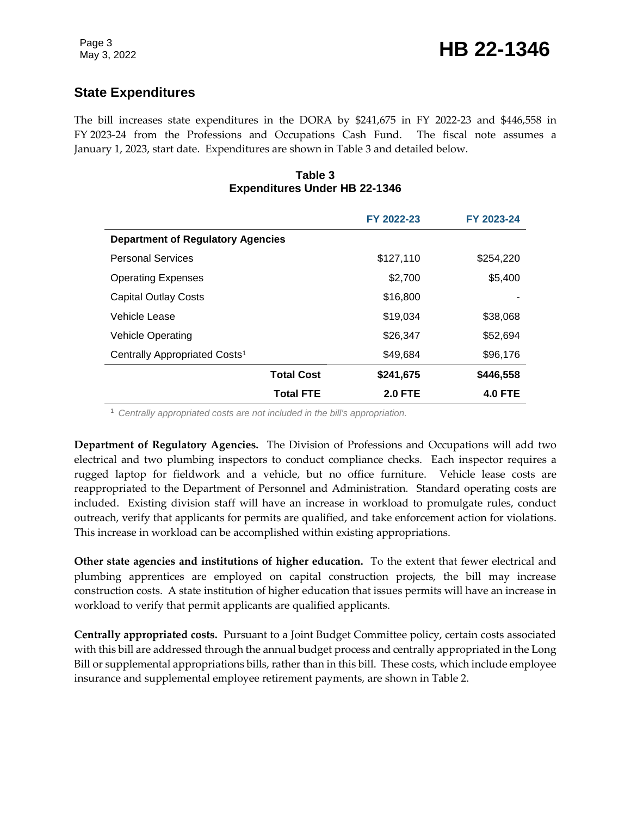### **State Expenditures**

The bill increases state expenditures in the DORA by \$241,675 in FY 2022-23 and \$446,558 in FY 2023-24 from the Professions and Occupations Cash Fund. The fiscal note assumes a January 1, 2023, start date. Expenditures are shown in Table 3 and detailed below.

#### **Table 3 Expenditures Under HB 22-1346**

|                                           | FY 2022-23     | FY 2023-24     |  |  |
|-------------------------------------------|----------------|----------------|--|--|
| <b>Department of Regulatory Agencies</b>  |                |                |  |  |
| <b>Personal Services</b>                  | \$127,110      | \$254,220      |  |  |
| <b>Operating Expenses</b>                 | \$2,700        | \$5,400        |  |  |
| <b>Capital Outlay Costs</b>               | \$16,800       |                |  |  |
| Vehicle Lease                             | \$19,034       | \$38,068       |  |  |
| <b>Vehicle Operating</b>                  | \$26,347       | \$52,694       |  |  |
| Centrally Appropriated Costs <sup>1</sup> | \$49,684       | \$96,176       |  |  |
| <b>Total Cost</b>                         | \$241,675      | \$446,558      |  |  |
| <b>Total FTE</b>                          | <b>2.0 FTE</b> | <b>4.0 FTE</b> |  |  |

<sup>1</sup> *Centrally appropriated costs are not included in the bill's appropriation.*

**Department of Regulatory Agencies.** The Division of Professions and Occupations will add two electrical and two plumbing inspectors to conduct compliance checks. Each inspector requires a rugged laptop for fieldwork and a vehicle, but no office furniture. Vehicle lease costs are reappropriated to the Department of Personnel and Administration. Standard operating costs are included. Existing division staff will have an increase in workload to promulgate rules, conduct outreach, verify that applicants for permits are qualified, and take enforcement action for violations. This increase in workload can be accomplished within existing appropriations.

**Other state agencies and institutions of higher education.** To the extent that fewer electrical and plumbing apprentices are employed on capital construction projects, the bill may increase construction costs. A state institution of higher education that issues permits will have an increase in workload to verify that permit applicants are qualified applicants.

**Centrally appropriated costs.** Pursuant to a Joint Budget Committee policy, certain costs associated with this bill are addressed through the annual budget process and centrally appropriated in the Long Bill or supplemental appropriations bills, rather than in this bill. These costs, which include employee insurance and supplemental employee retirement payments, are shown in Table 2.